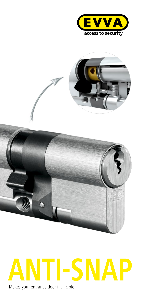



# **ANTI-SNAP** Makes your entrance door invincible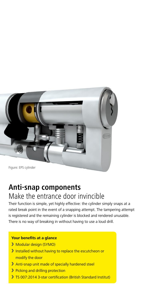

### **Anti-snap components** Make the entrance door invincible

Their function is simple, yet highly effective: the cylinder simply snaps at a rated break point in the event of a snapping attempt. The tampering attempt is registered and the remaining cylinder is blocked and rendered unusable. There is no way of breaking in without having to use a loud drill.

#### **Your benefits at a glance**

- **Modular design (SYMO)**
- Installed without having to replace the escutcheon or modify the door
- Anti-snap unit made of specially hardened steel
- **>** Picking and drilling protection
- TS 007:2014 3-star certification (British Standard Institut)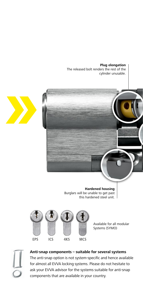**Plug elongation** The released bolt renders the rest of the cylinder unusable.





Available for all modular Systems (SYMO)



**Anti-snap components – suitable for several systems** The anti-snap option is not system-specific and hence available for almost all EVVA locking systems. Please do not hesitate to ask your EVVA advisor for the systems suitable for anti-snap components that are available in your country.

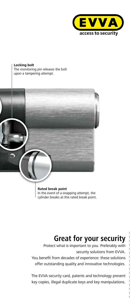

**Locking bolt** The monitoring pin releases the bolt upon a tampering attempt.



**Rated break point** In the event of a snapping attempt, the cylinder breaks at this rated break point.

# **Great for your security**

 $\overline{\phantom{a}}$  $\overline{\phantom{a}}$  $\overline{1}$  $\overline{1}$  $\begin{array}{c} \hline \end{array}$  $\overline{\phantom{a}}$  $\overline{1}$  $\overline{1}$  $\overline{1}$  $\overline{\phantom{a}}$  $\overline{\phantom{a}}$  $\overline{\phantom{a}}$  $\overline{1}$  $\overline{\phantom{a}}$  $\overline{\phantom{a}}$ 

Protect what is important to you. Preferably with security solutions from EVVA. You benefit from decades of experience: these solutions offer outstanding quality and innovative technologies.

The EVVA security card, patents and technology prevent key copies, illegal duplicate keys and key manipulations.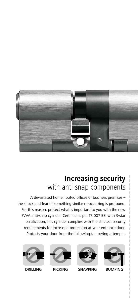

## **Increasing security** with anti-snap components

A devastated home, looted offices or business premises – the shock and fear of something similar re-occurring is profound. For this reason, protect what is important to you with the new EVVA anti-snap cylinder. Certified as per TS 007 BSI with 3-star certification, this cylinder complies with the strictest security requirements for increased protection at your entrance door. Protects your door from the following tampering attempts:











 $\begin{array}{c} \hline \end{array}$  $\overline{1}$  $\overline{\phantom{a}}$  $\overline{\phantom{a}}$  $\overline{\phantom{a}}$  $\overline{1}$  $\begin{array}{c} \end{array}$  $\overline{1}$  $\overline{1}$ 

 $\overline{1}$  $\overline{1}$ 

DRILLING PICKING SNAPPING BUMPING